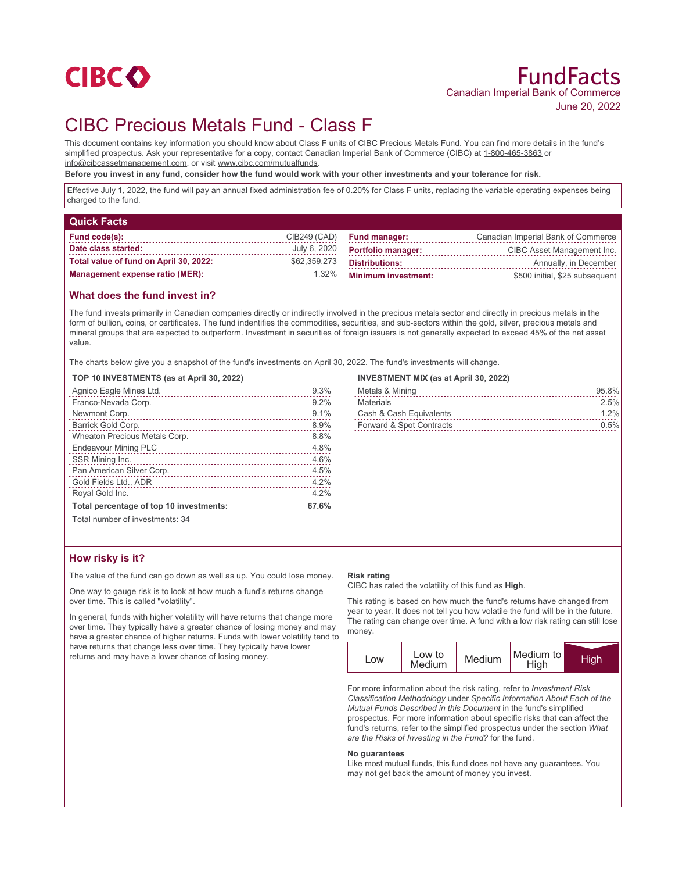

# CIBC Precious Metals Fund - Class F

This document contains key information you should know about Class F units of CIBC Precious Metals Fund. You can find more details in the fund's simplified prospectus. Ask your representative for a copy, contact Canadian Imperial Bank of Commerce (CIBC) at 1-800-465-3863 or info@cibcassetmanagement.com, or visit www.cibc.com/mutualfunds.

**Before you invest in any fund, consider how the fund would work with your other investments and your tolerance for risk.**

Effective July 1, 2022, the fund will pay an annual fixed administration fee of 0.20% for Class F units, replacing the variable operating expenses being charged to the fund.

| <b>Quick Facts</b>                     |              |                            |                                    |
|----------------------------------------|--------------|----------------------------|------------------------------------|
| Fund code(s):                          | CIB249 (CAD) | <b>Fund manager:</b>       | Canadian Imperial Bank of Commerce |
| Date class started:                    | July 6, 2020 | <b>Portfolio manager:</b>  | CIBC Asset Management Inc.         |
| Total value of fund on April 30, 2022: | \$62,359,273 | <b>Distributions:</b>      | Annually, in December              |
| <b>Management expense ratio (MER):</b> | 1.32%        | <b>Minimum investment:</b> | \$500 initial, \$25 subsequent     |

#### **What does the fund invest in?**

The fund invests primarily in Canadian companies directly or indirectly involved in the precious metals sector and directly in precious metals in the form of bullion, coins, or certificates. The fund indentifies the commodities, securities, and sub-sectors within the gold, silver, precious metals and mineral groups that are expected to outperform. Investment in securities of foreign issuers is not generally expected to exceed 45% of the net asset value.

The charts below give you a snapshot of the fund's investments on April 30, 2022. The fund's investments will change.

#### **TOP 10 INVESTMENTS (as at April 30, 2022)**

| Agnico Eagle Mines Ltd.                 | 9.3%  |
|-----------------------------------------|-------|
| Franco-Nevada Corp.                     | 9.2%  |
| Newmont Corp.                           | 9.1%  |
| Barrick Gold Corp.                      | 8.9%  |
| Wheaton Precious Metals Corp.           | 8.8%  |
| <b>Endeavour Mining PLC</b>             | 4.8%  |
| SSR Mining Inc.                         | 4.6%  |
| Pan American Silver Corp.               | 4.5%  |
| Gold Fields Ltd., ADR<br>.              | 4.2%  |
| Royal Gold Inc.                         | 4.2%  |
| Total percentage of top 10 investments: | 67.6% |
| Total number of investments: 34         |       |

#### **INVESTMENT MIX (as at April 30, 2022)**

| Metals & Mining          | 95.8%   |
|--------------------------|---------|
| Materials                | 2.5%    |
| Cash & Cash Equivalents  | 1.2%    |
| Forward & Spot Contracts | $0.5\%$ |

### **How risky is it?**

The value of the fund can go down as well as up. You could lose money.

One way to gauge risk is to look at how much a fund's returns change over time. This is called "volatility".

In general, funds with higher volatility will have returns that change more over time. They typically have a greater chance of losing money and may have a greater chance of higher returns. Funds with lower volatility tend to have returns that change less over time. They typically have lower returns and may have a lower chance of losing money.

#### **Risk rating**

CIBC has rated the volatility of this fund as **High**.

This rating is based on how much the fund's returns have changed from year to year. It does not tell you how volatile the fund will be in the future. The rating can change over time. A fund with a low risk rating can still lose money.



For more information about the risk rating, refer to *Investment Risk Classification Methodology* under *Specific Information About Each of the Mutual Funds Described in this Document* in the fund's simplified prospectus. For more information about specific risks that can affect the fund's returns, refer to the simplified prospectus under the section *What are the Risks of Investing in the Fund?* for the fund.

#### **No guarantees**

Like most mutual funds, this fund does not have any guarantees. You may not get back the amount of money you invest.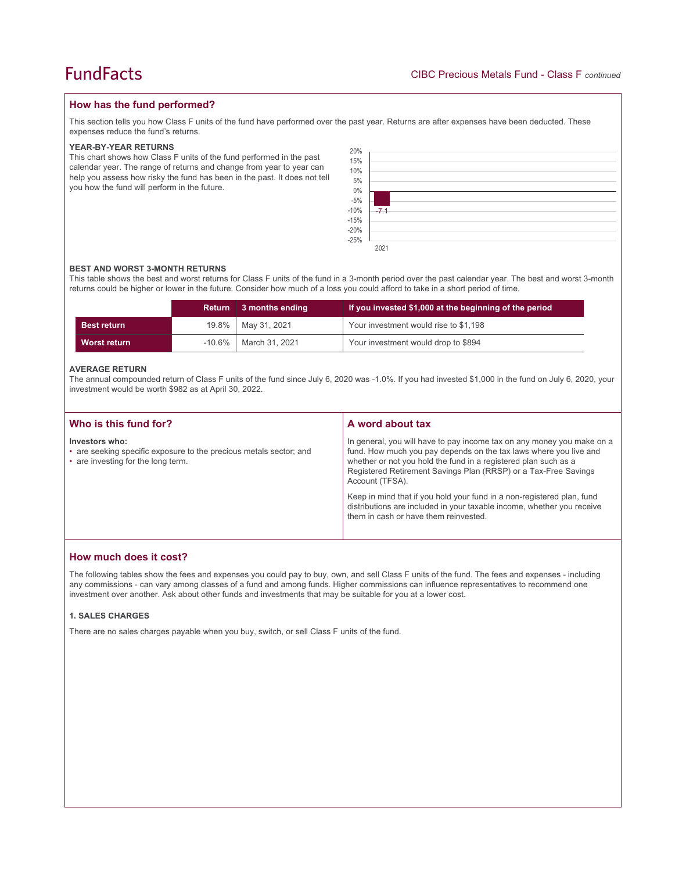#### **How has the fund performed?**

This section tells you how Class F units of the fund have performed over the past year. Returns are after expenses have been deducted. These expenses reduce the fund's returns.

#### **YEAR-BY-YEAR RETURNS**

This chart shows how Class F units of the fund performed in the past calendar year. The range of returns and change from year to year can help you assess how risky the fund has been in the past. It does not tell you how the fund will perform in the future.

| 20%<br>15%<br>10%<br>5%<br>0%<br>-5%<br>-10%<br>-15%<br>-20%<br>-25% | $-7.1$ |
|----------------------------------------------------------------------|--------|
|                                                                      |        |
|                                                                      |        |
|                                                                      | 2021   |

#### **BEST AND WORST 3-MONTH RETURNS**

This table shows the best and worst returns for Class F units of the fund in a 3-month period over the past calendar year. The best and worst 3-month returns could be higher or lower in the future. Consider how much of a loss you could afford to take in a short period of time.

|                    | <b>Return</b> | $\vert$ 3 months ending | If you invested \$1,000 at the beginning of the period |  |
|--------------------|---------------|-------------------------|--------------------------------------------------------|--|
| <b>Best return</b> | 19.8%         | May 31, 2021            | Your investment would rise to \$1,198                  |  |
| Worst return       | $-10.6\%$     | March 31, 2021          | Your investment would drop to \$894                    |  |

#### **AVERAGE RETURN**

The annual compounded return of Class F units of the fund since July 6, 2020 was -1.0%. If you had invested \$1,000 in the fund on July 6, 2020, your investment would be worth \$982 as at April 30, 2022.

| Who is this fund for?                                                                                                      | A word about tax                                                                                                                                                                                                                                                                                     |  |
|----------------------------------------------------------------------------------------------------------------------------|------------------------------------------------------------------------------------------------------------------------------------------------------------------------------------------------------------------------------------------------------------------------------------------------------|--|
| Investors who:<br>• are seeking specific exposure to the precious metals sector; and<br>• are investing for the long term. | In general, you will have to pay income tax on any money you make on a<br>fund. How much you pay depends on the tax laws where you live and<br>whether or not you hold the fund in a registered plan such as a<br>Registered Retirement Savings Plan (RRSP) or a Tax-Free Savings<br>Account (TFSA). |  |
|                                                                                                                            | Keep in mind that if you hold your fund in a non-registered plan, fund<br>distributions are included in your taxable income, whether you receive<br>them in cash or have them reinvested.                                                                                                            |  |

#### **How much does it cost?**

The following tables show the fees and expenses you could pay to buy, own, and sell Class F units of the fund. The fees and expenses - including any commissions - can vary among classes of a fund and among funds. Higher commissions can influence representatives to recommend one investment over another. Ask about other funds and investments that may be suitable for you at a lower cost.

#### **1. SALES CHARGES**

There are no sales charges payable when you buy, switch, or sell Class F units of the fund.